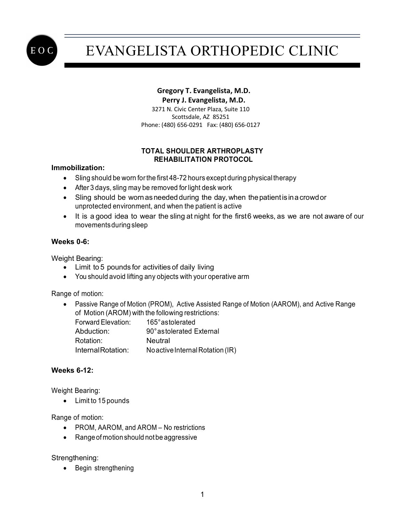

# EVANGELISTA ORTHOPEDIC CLINIC

## **Gregory T. Evangelista, M.D.**

 **Perry J. Evangelista, M.D.** 3271 N. Civic Center Plaza, Suite 110 Scottsdale, AZ 85251 Phone: (480) 656-0291 Fax: (480) 656-0127

### **TOTAL SHOULDER ARTHROPLASTY REHABILITATION PROTOCOL**

#### **Immobilization:**

- Sling should be worn for the first 48-72 hours except during physical therapy
- After 3 days, sling may be removed for light desk work
- Sling should be worn as needed during the day, when the patient is in a crowd or unprotected environment, and when the patient is active
- It is a good idea to wear the sling at night for the first6 weeks, as we are not aware of our movementsduring sleep

#### **Weeks 0-6:**

Weight Bearing:

- Limit to 5 pounds for activities of daily living
- You should avoid lifting any objects with your operative arm

Range of motion:

• Passive Range of Motion (PROM), Active Assisted Range of Motion (AAROM), and Active Range of Motion (AROM) with the following restrictions:

| Forward Elevation: | 165° astolerated                 |
|--------------------|----------------------------------|
| Abduction:         | 90° astolerated External         |
| Rotation:          | Neutral                          |
| InternalRotation:  | No active Internal Rotation (IR) |

### **Weeks 6-12:**

Weight Bearing:

• Limit to 15 pounds

Range of motion:

- PROM, AAROM, and AROM No restrictions
- Range of motion should not be aggressive

Strengthening:

• Begin strengthening